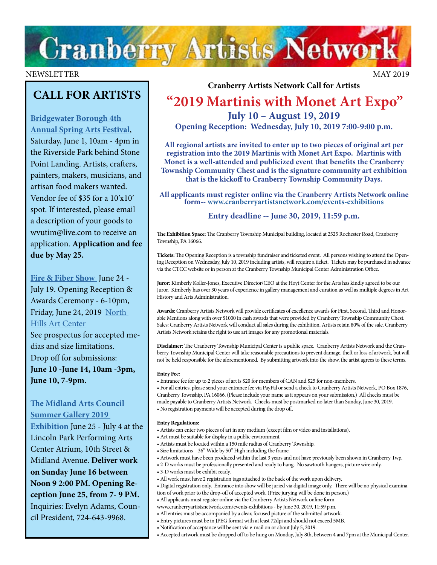

### NEWSLETTER MAY 2019

# **CALL FOR ARTISTS**

### **[Bridgewater Borough 4th](http://bridgewaterpa.com/2019-4th-annual-spring-arts-festival/)  [Annual Spring Arts Festival](http://bridgewaterpa.com/2019-4th-annual-spring-arts-festival/)**,

Saturday, June 1, 10am - 4pm in the Riverside Park behind Stone Point Landing. Artists, crafters, painters, makers, musicians, and artisan food makers wanted. Vendor fee of \$35 for a 10'x10' spot. If interested, please email a description of your goods to wvutim@live.com to receive an application. **Application and fee due by May 25.**

**[Fire & Fiber Show](https://northhillsartcenter.org/resources/Documents/Shows/F_F%20Call%20For%20Entries%202019.jpg)** June 24 - July 19. Opening Reception & Awards Ceremony - 6-10pm, Friday, June 24, 2019 North [Hills Art Center](http://www.northhillsartcenter.org/)

See prospectus for accepted medias and size limitations. Drop off for submissions: **June 10 -June 14, 10am -3pm, June 10, 7-9pm.** 

### **[The Midland Arts Council](http://midland-arts-council-pa.com/)**

**[Summer Gallery 2019](http://midland-arts-council-pa.com/)** 

**[Exhibition](http://midland-arts-council-pa.com/)** June 25 - July 4 at the Lincoln Park Performing Arts Center Atrium, 10th Street & Midland Avenue. **Deliver work on Sunday June 16 between Noon 9 2:00 PM. Opening Reception June 25, from 7- 9 PM.**  Inquiries: Evelyn Adams, Council President, 724-643-9968.

**Cranberry Artists Network Call for Artists**

# **"2019 Martinis with Monet Art Expo" July 10 – August 19, 2019**

**Opening Reception: Wednesday, July 10, 2019 7:00-9:00 p.m.**

**All regional artists are invited to enter up to two pieces of original art per registration into the 2019 Martinis with Monet Art Expo. Martinis with Monet is a well-attended and publicized event that benefits the Cranberry Township Community Chest and is the signature community art exhibition that is the kickoff to Cranberry Township Community Days.**

**All applicants [must register online via the Cranberry Artists Network](http://www.cranberryartistsnetwork.com/events-exhibitions) online form-- [www.cranberryartistsnetwork.com/events-exhibitions](http://www.cranberryartistsnetwork.com/events-exhibitions)**

### **Entry deadline -- June 30, 2019, 11:59 p.m.**

**The Exhibition Space:** The Cranberry Township Municipal building, located at 2525 Rochester Road, Cranberry Township, PA 16066.

**Tickets:** The Opening Reception is a township fundraiser and ticketed event. All persons wishing to attend the Opening Reception on Wednesday, July 10, 2019 including artists, will require a ticket. Tickets may be purchased in advance via the CTCC website or in person at the Cranberry Township Municipal Center Administration Office.

**Juror:** Kimberly Koller-Jones, Executive Director/CEO at the Hoyt Center for the Arts has kindly agreed to be our Juror. Kimberly has over 30 years of experience in gallery management and curation as well as multiple degrees in Art History and Arts Administration.

**Awards:** Cranberry Artists Network will provide certificates of excellence awards for First, Second, Third and Honorable Mentions along with over \$1000 in cash awards that were provided by Cranberry Township Community Chest. Sales: Cranberry Artists Network will conduct all sales during the exhibition. Artists retain 80% of the sale. Cranberry Artists Network retains the right to use art images for any promotional materials.

**Disclaimer:** The Cranberry Township Municipal Center is a public space. Cranberry Artists Network and the Cranberry Township Municipal Center will take reasonable precautions to prevent damage, theft or loss of artwork, but will not be held responsible for the aforementioned. By submitting artwork into the show, the artist agrees to these terms.

#### **Entry Fee:**

• Entrance fee for up to 2 pieces of art is \$20 for members of CAN and \$25 for non-members.

• For all entries, please send your entrance fee via PayPal or send a check to Cranberry Artists Network, PO Box 1876, Cranberry Township, PA 16066. (Please include your name as it appears on your submission.) All checks must be made payable to Cranberry Artists Network. Checks must be postmarked no later than Sunday, June 30, 2019. • No registration payments will be accepted during the drop off.

### **Entry Regulations:**

- Artists can enter two pieces of art in any medium (except film or video and installations).
- Art must be suitable for display in a public environment.
- Artists must be located within a 150 mile radius of Cranberry Township.
- Size limitations 36" Wide by 50" High including the frame.
- Artwork must have been produced within the last 3 years and not have previously been shown in Cranberry Twp.
- 2-D works must be professionally presented and ready to hang. No sawtooth hangers, picture wire only.
- 3-D works must be exhibit ready.
- All work must have 2 registration tags attached to the back of the work upon delivery.
- Digital registration only. Entrance into show will be juried via digital image only. There will be no physical examina-
- tion of work prior to the drop-off of accepted work. (Prize jurying will be done in person.)
	- All applicants must register online via the Cranberry Artists Network online form--
	- www.cranberryartistsnetwork.com/events-exhibitions by June 30, 2019, 11:59 p.m.
- All entries must be accompanied by a clear, focused picture of the submitted artwork. • Entry pictures must be in JPEG format with at least 72dpi and should not exceed 5MB.
- Notification of acceptance will be sent via e-mail on or about July 5, 2019.
- 
- Accepted artwork must be dropped off to be hung on Monday, July 8th, between 4 and 7pm at the Municipal Center.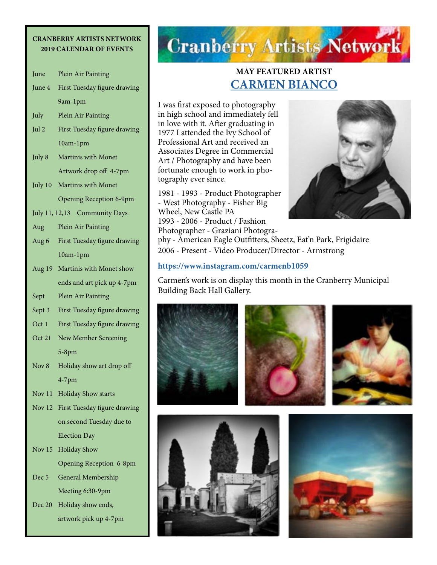# **CRANBERRY ARTISTS NETWORK**

| <b>2019 CALENDAR OF EVENTS</b> |                              |
|--------------------------------|------------------------------|
| June                           | Plein Air Painting           |
| June 4                         | First Tuesday figure drawing |
|                                | 9am-1pm                      |
| July                           | Plein Air Painting           |
| Jul 2                          | First Tuesday figure drawing |
|                                | 10am-1pm                     |
| July 8                         | Martinis with Monet          |
|                                | Artwork drop off 4-7pm       |
| July 10                        | Martinis with Monet          |
|                                | Opening Reception 6-9pm      |
| July 11, 12,13 Community Days  |                              |
| Aug                            | Plein Air Painting           |
| Aug 6                          | First Tuesday figure drawing |
|                                | 10am-1pm                     |
| Aug 19                         | Martinis with Monet show     |
|                                | ends and art pick up 4-7pm   |
| Sept                           | Plein Air Painting           |
| Sept 3                         | First Tuesday figure drawing |
| Oct 1                          | First Tuesday figure drawing |
| Oct 21                         | New Member Screening         |
|                                | $5-8$ pm                     |
| Nov 8                          | Holiday show art drop off    |
|                                | $4-7$ pm                     |
| Nov 11                         | <b>Holiday Show starts</b>   |
| Nov $12$                       | First Tuesday figure drawing |
|                                | on second Tuesday due to     |
|                                | <b>Election Day</b>          |
| Nov $15$                       | <b>Holiday Show</b>          |
|                                | Opening Reception 6-8pm      |
| Dec 5                          | General Membership           |
|                                | Meeting 6:30-9pm             |
| Dec 20                         | Holiday show ends,           |
|                                | artwork pick up 4-7pm        |

# **Cranberry Artists Network**

## **MAY FEATURED ARTIST [CARMEN BIANCO](https://www.instagram.com/carmenb1059)**

I was first exposed to photography in high school and immediately fell in love with it. After graduating in 1977 I attended the Ivy School of Professional Art and received an Associates Degree in Commercial Art / Photography and have been fortunate enough to work in photography ever since.

1981 - 1993 - Product Photographer - West Photography - Fisher Big Wheel, New Castle PA 1993 - 2006 - Product / Fashion Photographer - Graziani Photogra-



phy - American Eagle Outfitters, Sheetz, Eat'n Park, Frigidaire 2006 - Present - Video Producer/Director - Armstrong

### **<https://www.instagram.com/carmenb1059>**

Carmen's work is on display this month in the Cranberry Municipal Building Back Hall Gallery.

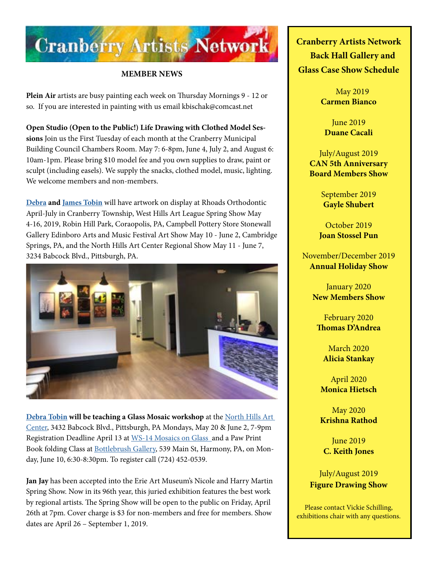

### **MEMBER NEWS**

**Plein Air** artists are busy painting each week on Thursday Mornings 9 - 12 or so. If you are interested in painting with us email kbischak@comcast.net

**Open Studio (Open to the Public!) Life Drawing with Clothed Model Sessions** Join us the First Tuesday of each month at the Cranberry Municipal Building Council Chambers Room. May 7: 6-8pm, June 4, July 2, and August 6: 10am-1pm. Please bring \$10 model fee and you own supplies to draw, paint or sculpt (including easels). We supply the snacks, clothed model, music, lighting. We welcome members and non-members.

**[Debra](http://www.Debratobinart.com) and [James Tobin](http://JamesTobinart.com)** will have artwork on display at Rhoads Orthodontic April-July in Cranberry Township, West Hills Art League Spring Show May 4-16, 2019, Robin Hill Park, Coraopolis, PA, Campbell Pottery Store Stonewall Gallery Edinboro Arts and Music Festival Art Show May 10 - June 2, Cambridge Springs, PA, and the North Hills Art Center Regional Show May 11 - June 7, 3234 Babcock Blvd., Pittsburgh, PA.



**[Debra Tobin](http://www.Debratobinart.com) will be teaching a Glass Mosaic workshop** at the [North Hills Art](http://northhillsartcenter.com/)  [Center,](http://northhillsartcenter.com/) 3432 Babcock Blvd., Pittsburgh, PA Mondays, May 20 & June 2, 7-9pm Registration Deadline April 13 at WS-14 Mosaics on Glass\_and a Paw Print Book folding Class at **Bottlebrush Gallery**, 539 Main St, Harmony, PA, on Monday, June 10, 6:30-8:30pm. To register call (724) 452-0539.

**Jan Jay** has been accepted into the Erie Art Museum's Nicole and Harry Martin Spring Show. Now in its 96th year, this juried exhibition features the best work by regional artists. The Spring Show will be open to the public on Friday, April 26th at 7pm. Cover charge is \$3 for non-members and free for members. Show dates are April 26 – September 1, 2019.

**Cranberry Artists Network Back Hall Gallery and Glass Case Show Schedule** 

> May 2019 **Carmen Bianco**

June 2019 **Duane Cacali**

July/August 2019 **CAN 5th Anniversary Board Members Show**

> September 2019 **Gayle Shubert**

October 2019 **Joan Stossel Pun**

November/December 2019 **Annual Holiday Show**

> January 2020 **New Members Show**

February 2020 **Thomas D'Andrea**

March 2020 **Alicia Stankay**

April 2020 **Monica Hietsch**

May 2020 **Krishna Rathod**

June 2019 **C. Keith Jones**

July/August 2019 **Figure Drawing Show**

Please contact Vickie Schilling, exhibitions chair with any questions.